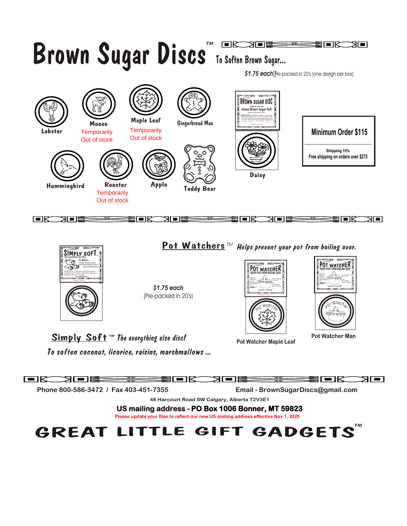



\$1.75 each (Pre-packed in 20's)

Surveiller La Bouffe KEEPS POTS FROM BOILING OVER ctions:<br>ta Pot n t s: tch he er n in es etc. DO N pot with OT lid. cover Do not allow pot to boil dry! Cool<br>Pot Watcher before<br>before handling The Original **The Original**  $\mathcal{L}$ **Packaged in Canada**  t Watc<sub>h</sub> oe b, r

**Pot Watcher Maple Leaf**



**Pot Watcher Man** 

Simply Soft™ *The everything else disc!*

*To soften coconut, licorice, raisins, marshmallows ...*

FK 2FI<del>E – HILE</del>N DRAIDE <del>– HILEN</del> DR ЯГ∎1  **Phone 800-586-3472 / Fax 403-451-7355 Email - BrownSugarDiscs@gmail.com 48 Harcourt Road SW Calgary, Alberta T2V3E1 US mailing address - PO Box 1006 Bonner, MT 59823 Please update your files to reflect our new US mailing address effective Nov 1, 2020** ™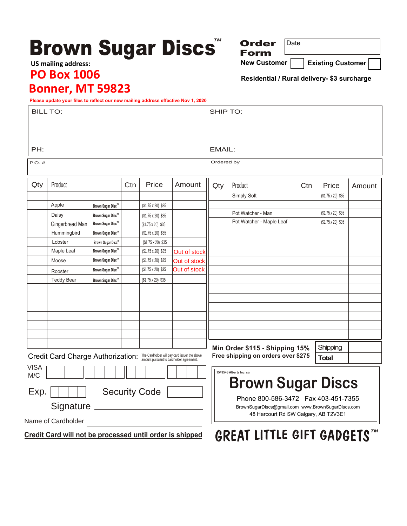## **Brown Sugar Discs** ™

**Order** 

**Form**

**New Customer | Existing Customer** 

**Residential / Rural delivery- \$3 surcharge**

Date

## **PO Box 1006 US mailing address:**

## **Bonner, MT 59823**

**Please update your files to reflect our new mailing address effective Nov 1, 2020**

|                                                                                 | Please update your nies to renect our new maning address enective Nov 1, 2020 |                   |     |                          |                                                    |                                                                                                                                   |                                            |     |                          |        |
|---------------------------------------------------------------------------------|-------------------------------------------------------------------------------|-------------------|-----|--------------------------|----------------------------------------------------|-----------------------------------------------------------------------------------------------------------------------------------|--------------------------------------------|-----|--------------------------|--------|
| <b>BILL TO:</b>                                                                 |                                                                               |                   |     |                          |                                                    | SHIP TO:                                                                                                                          |                                            |     |                          |        |
|                                                                                 |                                                                               |                   |     |                          |                                                    |                                                                                                                                   |                                            |     |                          |        |
|                                                                                 |                                                                               |                   |     |                          |                                                    |                                                                                                                                   |                                            |     |                          |        |
|                                                                                 |                                                                               |                   |     |                          |                                                    |                                                                                                                                   |                                            |     |                          |        |
| PH:                                                                             |                                                                               |                   |     |                          |                                                    | EMAIL:                                                                                                                            |                                            |     |                          |        |
| $P.O.$ #                                                                        |                                                                               |                   |     |                          |                                                    | Ordered by                                                                                                                        |                                            |     |                          |        |
|                                                                                 |                                                                               |                   |     |                          |                                                    |                                                                                                                                   |                                            |     |                          |        |
| Qty                                                                             | Product                                                                       |                   | Ctn | Price                    | Amount                                             | Qty                                                                                                                               | Product                                    | Ctn | Price                    | Amount |
|                                                                                 |                                                                               |                   |     |                          |                                                    |                                                                                                                                   | Simply Soft                                |     | $($1.75 \times 20)$ \$35 |        |
|                                                                                 | Apple                                                                         | Brown Sugar Disc™ |     | $($1.75 \times 20)$ \$35 |                                                    |                                                                                                                                   |                                            |     |                          |        |
|                                                                                 | Daisy                                                                         | Brown Sugar Disc™ |     | $($1.75 \times 20)$ \$35 |                                                    |                                                                                                                                   | Pot Watcher - Man                          |     | $($1.75 \times 20)$ \$35 |        |
|                                                                                 | Gingerbread Man                                                               | Brown Sugar Disc™ |     | $($1.75 \times 20)$ \$35 |                                                    |                                                                                                                                   | Pot Watcher - Maple Leaf                   |     | $($1.75 \times 20)$ \$35 |        |
|                                                                                 | Hummingbird                                                                   | Brown Sugar Disc™ |     | (\$1.75 x 20) \$35       |                                                    |                                                                                                                                   |                                            |     |                          |        |
|                                                                                 | Lobster                                                                       | Brown Sugar Disc™ |     | $($1.75 \times 20)$ \$35 |                                                    |                                                                                                                                   |                                            |     |                          |        |
|                                                                                 | Maple Leaf                                                                    | Brown Sugar Disc™ |     | (\$1.75 x 20) \$35       | Out of stock                                       |                                                                                                                                   |                                            |     |                          |        |
|                                                                                 | Moose                                                                         | Brown Sugar Disc™ |     | $($1.75 \times 20)$ \$35 | Out of stock                                       |                                                                                                                                   |                                            |     |                          |        |
|                                                                                 | Rooster                                                                       | Brown Sugar Disc™ |     | (\$1.75 x 20) \$35       | Out of stock                                       |                                                                                                                                   |                                            |     |                          |        |
|                                                                                 | <b>Teddy Bear</b>                                                             | Brown Sugar Disc™ |     | $($1.75 \times 20)$ \$35 |                                                    |                                                                                                                                   |                                            |     |                          |        |
|                                                                                 |                                                                               |                   |     |                          |                                                    |                                                                                                                                   |                                            |     |                          |        |
|                                                                                 |                                                                               |                   |     |                          |                                                    |                                                                                                                                   |                                            |     |                          |        |
|                                                                                 |                                                                               |                   |     |                          |                                                    |                                                                                                                                   |                                            |     |                          |        |
|                                                                                 |                                                                               |                   |     |                          |                                                    |                                                                                                                                   |                                            |     |                          |        |
|                                                                                 |                                                                               |                   |     |                          |                                                    |                                                                                                                                   |                                            |     |                          |        |
|                                                                                 |                                                                               |                   |     |                          |                                                    |                                                                                                                                   |                                            |     |                          |        |
|                                                                                 |                                                                               |                   |     |                          |                                                    |                                                                                                                                   | Shipping<br>Min Order \$115 - Shipping 15% |     |                          |        |
| Credit Card Charge Authorization: The Cardholder will pay card issuer the above |                                                                               |                   |     |                          | Free shipping on orders over \$275<br><b>Total</b> |                                                                                                                                   |                                            |     |                          |        |
| <b>VISA</b>                                                                     |                                                                               |                   |     |                          |                                                    |                                                                                                                                   |                                            |     |                          |        |
| M/C                                                                             |                                                                               |                   |     |                          |                                                    |                                                                                                                                   | 1549548 Alberta Inc. o/a                   |     |                          |        |
|                                                                                 |                                                                               |                   |     |                          |                                                    |                                                                                                                                   | <b>Brown Sugar Discs</b>                   |     |                          |        |
| <b>Security Code</b><br>Exp.                                                    |                                                                               |                   |     |                          |                                                    | Phone 800-586-3472  Fax 403-451-7355<br>BrownSugarDiscs@gmail.com www.BrownSugarDiscs.com<br>48 Harcourt Rd SW Calgary, AB T2V3E1 |                                            |     |                          |        |
| Signature _                                                                     |                                                                               |                   |     |                          |                                                    |                                                                                                                                   |                                            |     |                          |        |
|                                                                                 |                                                                               |                   |     |                          |                                                    |                                                                                                                                   |                                            |     |                          |        |
|                                                                                 | Name of Cardholder                                                            |                   |     |                          |                                                    |                                                                                                                                   |                                            |     |                          |        |
|                                                                                 | Credit Card will not be processed until order is shipped                      |                   |     |                          |                                                    |                                                                                                                                   | <b>GREAT LITTLE GIFT GADGETS™</b>          |     |                          |        |
|                                                                                 |                                                                               |                   |     |                          |                                                    |                                                                                                                                   |                                            |     |                          |        |